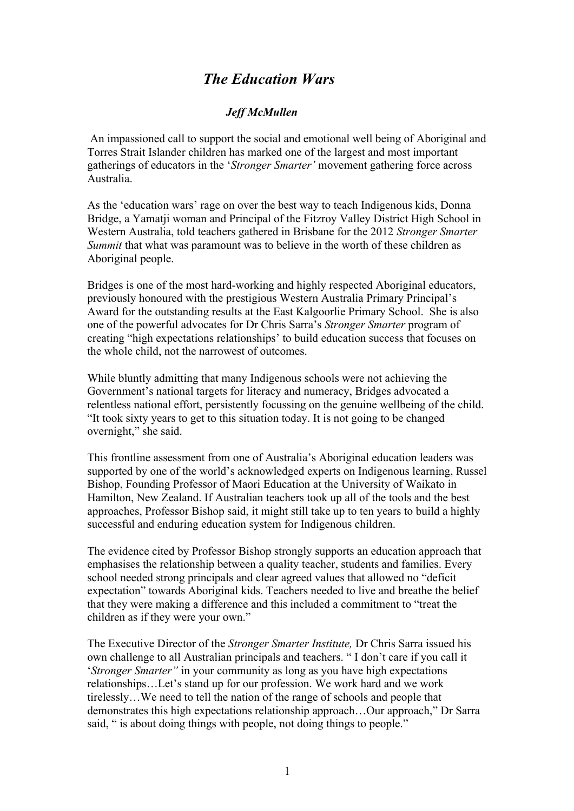## *The Education Wars*

## *Jeff McMullen*

An impassioned call to support the social and emotional well being of Aboriginal and Torres Strait Islander children has marked one of the largest and most important gatherings of educators in the '*Stronger Smarter'* movement gathering force across Australia.

As the 'education wars' rage on over the best way to teach Indigenous kids, Donna Bridge, a Yamatji woman and Principal of the Fitzroy Valley District High School in Western Australia, told teachers gathered in Brisbane for the 2012 *Stronger Smarter Summit* that what was paramount was to believe in the worth of these children as Aboriginal people.

Bridges is one of the most hard-working and highly respected Aboriginal educators, previously honoured with the prestigious Western Australia Primary Principal's Award for the outstanding results at the East Kalgoorlie Primary School. She is also one of the powerful advocates for Dr Chris Sarra's *Stronger Smarter* program of creating "high expectations relationships' to build education success that focuses on the whole child, not the narrowest of outcomes.

While bluntly admitting that many Indigenous schools were not achieving the Government's national targets for literacy and numeracy, Bridges advocated a relentless national effort, persistently focussing on the genuine wellbeing of the child. "It took sixty years to get to this situation today. It is not going to be changed overnight," she said.

This frontline assessment from one of Australia's Aboriginal education leaders was supported by one of the world's acknowledged experts on Indigenous learning, Russel Bishop, Founding Professor of Maori Education at the University of Waikato in Hamilton, New Zealand. If Australian teachers took up all of the tools and the best approaches, Professor Bishop said, it might still take up to ten years to build a highly successful and enduring education system for Indigenous children.

The evidence cited by Professor Bishop strongly supports an education approach that emphasises the relationship between a quality teacher, students and families. Every school needed strong principals and clear agreed values that allowed no "deficit expectation" towards Aboriginal kids. Teachers needed to live and breathe the belief that they were making a difference and this included a commitment to "treat the children as if they were your own."

The Executive Director of the *Stronger Smarter Institute,* Dr Chris Sarra issued his own challenge to all Australian principals and teachers. " I don't care if you call it '*Stronger Smarter"* in your community as long as you have high expectations relationships…Let's stand up for our profession. We work hard and we work tirelessly…We need to tell the nation of the range of schools and people that demonstrates this high expectations relationship approach…Our approach," Dr Sarra said, " is about doing things with people, not doing things to people."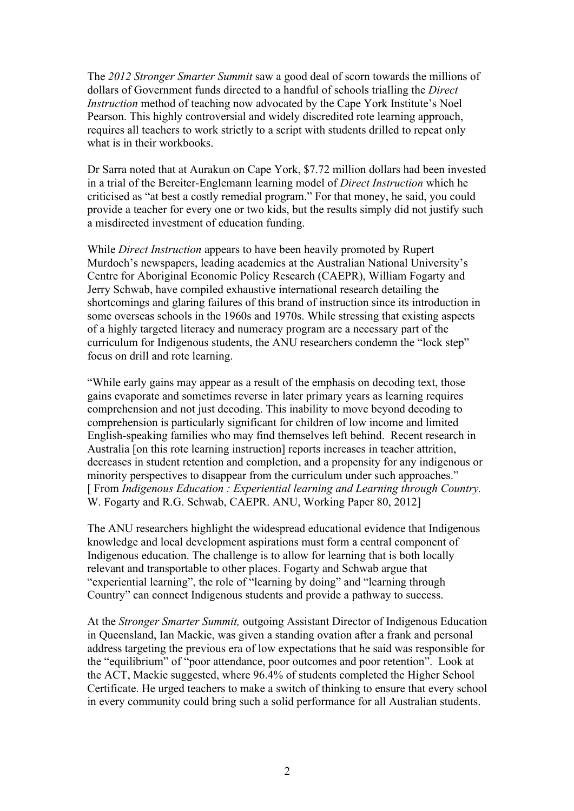The *2012 Stronger Smarter Summit* saw a good deal of scorn towards the millions of dollars of Government funds directed to a handful of schools trialling the *Direct Instruction* method of teaching now advocated by the Cape York Institute's Noel Pearson. This highly controversial and widely discredited rote learning approach, requires all teachers to work strictly to a script with students drilled to repeat only what is in their workbooks.

Dr Sarra noted that at Aurakun on Cape York, \$7.72 million dollars had been invested in a trial of the Bereiter-Englemann learning model of *Direct Instruction* which he criticised as "at best a costly remedial program." For that money, he said, you could provide a teacher for every one or two kids, but the results simply did not justify such a misdirected investment of education funding.

While *Direct Instruction* appears to have been heavily promoted by Rupert Murdoch's newspapers, leading academics at the Australian National University's Centre for Aboriginal Economic Policy Research (CAEPR), William Fogarty and Jerry Schwab, have compiled exhaustive international research detailing the shortcomings and glaring failures of this brand of instruction since its introduction in some overseas schools in the 1960s and 1970s. While stressing that existing aspects of a highly targeted literacy and numeracy program are a necessary part of the curriculum for Indigenous students, the ANU researchers condemn the "lock step" focus on drill and rote learning.

"While early gains may appear as a result of the emphasis on decoding text, those gains evaporate and sometimes reverse in later primary years as learning requires comprehension and not just decoding. This inability to move beyond decoding to comprehension is particularly significant for children of low income and limited English-speaking families who may find themselves left behind. Recent research in Australia [on this rote learning instruction] reports increases in teacher attrition, decreases in student retention and completion, and a propensity for any indigenous or minority perspectives to disappear from the curriculum under such approaches." [ From *Indigenous Education : Experiential learning and Learning through Country.*  W. Fogarty and R.G. Schwab, CAEPR. ANU, Working Paper 80, 2012]

The ANU researchers highlight the widespread educational evidence that Indigenous knowledge and local development aspirations must form a central component of Indigenous education. The challenge is to allow for learning that is both locally relevant and transportable to other places. Fogarty and Schwab argue that "experiential learning", the role of "learning by doing" and "learning through Country" can connect Indigenous students and provide a pathway to success.

At the *Stronger Smarter Summit,* outgoing Assistant Director of Indigenous Education in Queensland, Ian Mackie, was given a standing ovation after a frank and personal address targeting the previous era of low expectations that he said was responsible for the "equilibrium" of "poor attendance, poor outcomes and poor retention". Look at the ACT, Mackie suggested, where 96.4% of students completed the Higher School Certificate. He urged teachers to make a switch of thinking to ensure that every school in every community could bring such a solid performance for all Australian students.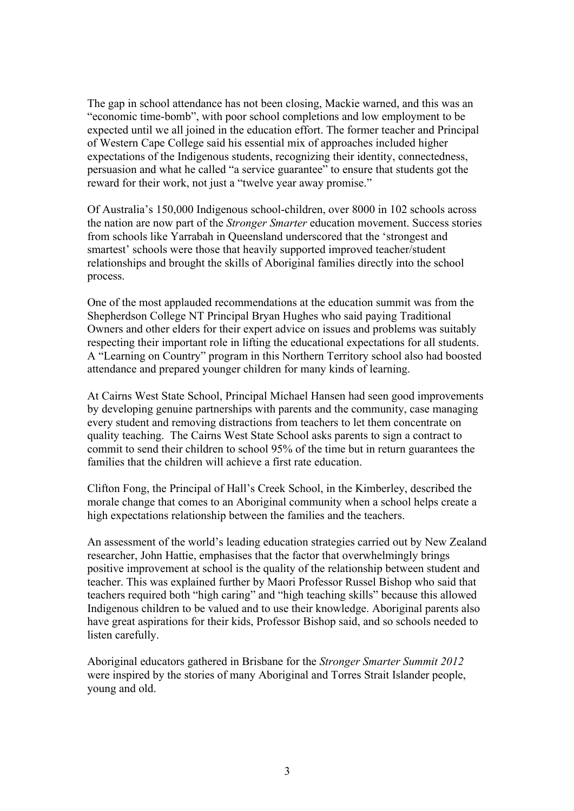The gap in school attendance has not been closing, Mackie warned, and this was an "economic time-bomb", with poor school completions and low employment to be expected until we all joined in the education effort. The former teacher and Principal of Western Cape College said his essential mix of approaches included higher expectations of the Indigenous students, recognizing their identity, connectedness, persuasion and what he called "a service guarantee" to ensure that students got the reward for their work, not just a "twelve year away promise."

Of Australia's 150,000 Indigenous school-children, over 8000 in 102 schools across the nation are now part of the *Stronger Smarter* education movement. Success stories from schools like Yarrabah in Queensland underscored that the 'strongest and smartest' schools were those that heavily supported improved teacher/student relationships and brought the skills of Aboriginal families directly into the school process.

One of the most applauded recommendations at the education summit was from the Shepherdson College NT Principal Bryan Hughes who said paying Traditional Owners and other elders for their expert advice on issues and problems was suitably respecting their important role in lifting the educational expectations for all students. A "Learning on Country" program in this Northern Territory school also had boosted attendance and prepared younger children for many kinds of learning.

At Cairns West State School, Principal Michael Hansen had seen good improvements by developing genuine partnerships with parents and the community, case managing every student and removing distractions from teachers to let them concentrate on quality teaching. The Cairns West State School asks parents to sign a contract to commit to send their children to school 95% of the time but in return guarantees the families that the children will achieve a first rate education.

Clifton Fong, the Principal of Hall's Creek School, in the Kimberley, described the morale change that comes to an Aboriginal community when a school helps create a high expectations relationship between the families and the teachers.

An assessment of the world's leading education strategies carried out by New Zealand researcher, John Hattie, emphasises that the factor that overwhelmingly brings positive improvement at school is the quality of the relationship between student and teacher. This was explained further by Maori Professor Russel Bishop who said that teachers required both "high caring" and "high teaching skills" because this allowed Indigenous children to be valued and to use their knowledge. Aboriginal parents also have great aspirations for their kids, Professor Bishop said, and so schools needed to listen carefully.

Aboriginal educators gathered in Brisbane for the *Stronger Smarter Summit 2012*  were inspired by the stories of many Aboriginal and Torres Strait Islander people, young and old.